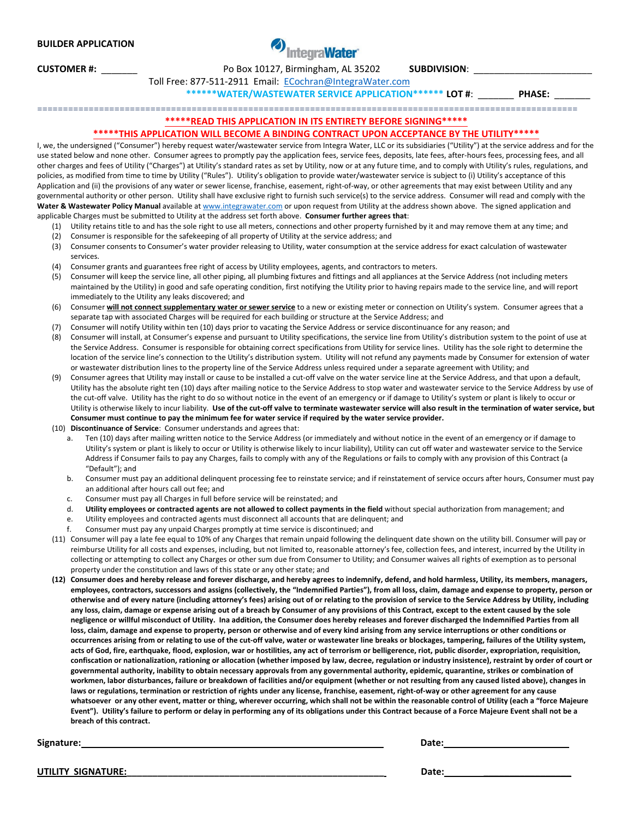## **BUILDER APPLICATION**

**CUSTOMER #:** \_\_\_\_\_\_\_ Po Box 10127, Birmingham, AL 35202 **SUBDIVISION**: \_\_\_\_\_\_\_\_\_\_\_\_\_\_\_\_\_\_\_\_\_\_\_

Toll Free: 877‐511‐2911 Email: ECochran@IntegraWater.com

**\*\*\*\*\*\*WATER/WASTEWATER SERVICE APPLICATION\*\*\*\*\*\* LOT #**: \_\_\_\_\_\_\_ **PHASE:** \_\_\_\_\_\_\_

=========================================================================================================

## **\*\*\*\*\*READ THIS APPLICATION IN ITS ENTIRETY BEFORE SIGNING\*\*\*\*\***

## **\*\*\*\*\*THIS APPLICATION WILL BECOME A BINDING CONTRACT UPON ACCEPTANCE BY THE UTILITY\*\*\*\*\***

I, we, the undersigned ("Consumer") hereby request water/wastewater service from Integra Water, LLC or its subsidiaries ("Utility") at the service address and for the use stated below and none other. Consumer agrees to promptly pay the application fees, service fees, deposits, late fees, after-hours fees, processing fees, and all other charges and fees of Utility ("Charges") at Utility's standard rates as set by Utility, now or at any future time, and to comply with Utility's rules, regulations, and policies, as modified from time to time by Utility ("Rules"). Utility's obligation to provide water/wastewater service is subject to (i) Utility's acceptance of this Application and (ii) the provisions of any water or sewer license, franchise, easement, right-of-way, or other agreements that may exist between Utility and any governmental authority or other person. Utility shall have exclusive right to furnish such service(s) to the service address. Consumer will read and comply with the **Water & Wastewater Policy Manual** available at www.integrawater.com or upon request from Utility at the address shown above. The signed application and applicable Charges must be submitted to Utility at the address set forth above. **Consumer further agrees that**:

- (1) Utility retains title to and has the sole right to use all meters, connections and other property furnished by it and may remove them at any time; and (2) Consumer is responsible for the safekeeping of all property of Utility at the service address; and
- (3) Consumer consents to Consumer's water provider releasing to Utility, water consumption at the service address for exact calculation of wastewater services.
- (4) Consumer grants and guarantees free right of access by Utility employees, agents, and contractors to meters.
- (5) Consumer will keep the service line, all other piping, all plumbing fixtures and fittings and all appliances at the Service Address (not including meters maintained by the Utility) in good and safe operating condition, first notifying the Utility prior to having repairs made to the service line, and will report immediately to the Utility any leaks discovered; and
- (6) Consumer **will not connect supplementary water or sewer service** to a new or existing meter or connection on Utility's system. Consumer agrees that a separate tap with associated Charges will be required for each building or structure at the Service Address; and
- (7) Consumer will notify Utility within ten (10) days prior to vacating the Service Address or service discontinuance for any reason; and
- (8) Consumer will install, at Consumer's expense and pursuant to Utility specifications, the service line from Utility's distribution system to the point of use at the Service Address. Consumer is responsible for obtaining correct specifications from Utility for service lines. Utility has the sole right to determine the location of the service line's connection to the Utility's distribution system. Utility will not refund any payments made by Consumer for extension of water or wastewater distribution lines to the property line of the Service Address unless required under a separate agreement with Utility; and
- (9) Consumer agrees that Utility may install or cause to be installed a cut‐off valve on the water service line at the Service Address, and that upon a default, Utility has the absolute right ten (10) days after mailing notice to the Service Address to stop water and wastewater service to the Service Address by use of the cut-off valve. Utility has the right to do so without notice in the event of an emergency or if damage to Utility's system or plant is likely to occur or Utility is otherwise likely to incur liability. Use of the cut-off valve to terminate wastewater service will also result in the termination of water service, but Consumer must continue to pay the minimum fee for water service if required by the water service provider.
- (10) **Discontinuance of Service**: Consumer understands and agrees that:
	- Ten (10) days after mailing written notice to the Service Address (or immediately and without notice in the event of an emergency or if damage to Utility's system or plant is likely to occur or Utility is otherwise likely to incur liability), Utility can cut off water and wastewater service to the Service Address if Consumer fails to pay any Charges, fails to comply with any of the Regulations or fails to comply with any provision of this Contract (a "Default"); and
	- b. Consumer must pay an additional delinquent processing fee to reinstate service; and if reinstatement of service occurs after hours, Consumer must pay an additional after hours call out fee; and
	- c. Consumer must pay all Charges in full before service will be reinstated; and
	- d. Utility employees or contracted agents are not allowed to collect payments in the field without special authorization from management; and
	- e. Utility employees and contracted agents must disconnect all accounts that are delinquent; and
	- f. Consumer must pay any unpaid Charges promptly at time service is discontinued; and
- (11) Consumer will pay a late fee equal to 10% of any Charges that remain unpaid following the delinquent date shown on the utility bill. Consumer will pay or reimburse Utility for all costs and expenses, including, but not limited to, reasonable attorney's fee, collection fees, and interest, incurred by the Utility in collecting or attempting to collect any Charges or other sum due from Consumer to Utility; and Consumer waives all rights of exemption as to personal property under the constitution and laws of this state or any other state; and
- (12) Consumer does and hereby release and forever discharge, and hereby agrees to indemnify, defend, and hold harmless, Utility, its members, managers, employees, contractors, successors and assigns (collectively, the "Indemnified Parties"), from all loss, claim, damage and expense to property, person or otherwise and of every nature (including attorney's fees) arising out of or relating to the provision of service to the Service Address by Utility, including any loss, claim, damage or expense arising out of a breach by Consumer of any provisions of this Contract, except to the extent caused by the sole negligence or willful misconduct of Utility. Ina addition, the Consumer does hereby releases and forever discharged the Indemnified Parties from all loss, claim, damage and expense to property, person or otherwise and of every kind arising from any service interruptions or other conditions or occurrences arising from or relating to use of the cut-off valve, water or wastewater line breaks or blockages, tampering, failures of the Utility system, acts of God, fire, earthquake, flood, explosion, war or hostilities, any act of terrorism or belligerence, riot, public disorder, expropriation, requisition, confiscation or nationalization, rationing or allocation (whether imposed by law, decree, regulation or industry insistence), restraint by order of court or governmental authority, inability to obtain necessary approvals from any governmental authority, epidemic, quarantine, strikes or combination of workmen, labor disturbances, failure or breakdown of facilities and/or equipment (whether or not resulting from any caused listed above), changes in laws or regulations, termination or restriction of rights under any license, franchise, easement, right-of-way or other agreement for any cause whatsoever or any other event, matter or thing, wherever occurring, which shall not be within the reasonable control of Utility (each a "force Majeure Event"). Utility's failure to perform or delay in performing any of its obligations under this Contract because of a Force Majeure Event shall not be a **breach of this contract.**

**Signature: Date:** 

**UTILITY SIGNATURE:\_\_\_\_\_\_\_\_\_\_\_\_\_\_\_\_\_\_\_\_\_\_\_\_\_\_\_\_\_\_\_\_\_\_\_\_\_\_\_\_\_\_\_\_\_\_\_\_\_\_ Date: \_\_\_\_\_\_\_\_\_\_\_\_\_\_\_\_\_**